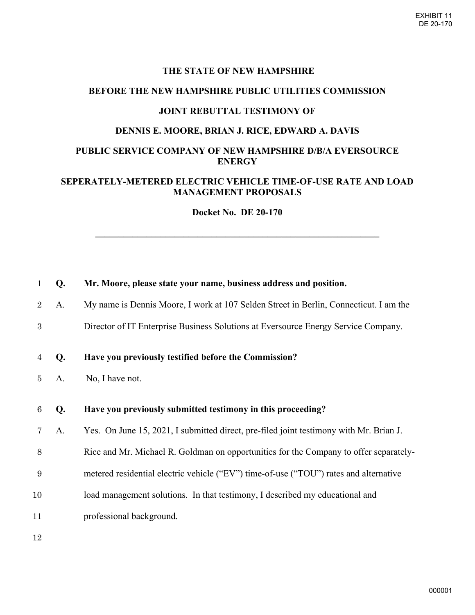#### **THE STATE OF NEW HAMPSHIRE**

### **BEFORE THE NEW HAMPSHIRE PUBLIC UTILITIES COMMISSION**

#### **JOINT REBUTTAL TESTIMONY OF**

### **DENNIS E. MOORE, BRIAN J. RICE, EDWARD A. DAVIS**

### **PUBLIC SERVICE COMPANY OF NEW HAMPSHIRE D/B/A EVERSOURCE ENERGY**

### **SEPERATELY-METERED ELECTRIC VEHICLE TIME-OF-USE RATE AND LOAD MANAGEMENT PROPOSALS**

**Docket No. DE 20-170** 

**\_\_\_\_\_\_\_\_\_\_\_\_\_\_\_\_\_\_\_\_\_\_\_\_\_\_\_\_\_\_\_\_\_\_\_\_\_\_\_\_\_\_\_\_\_\_\_\_\_\_\_\_\_\_\_\_\_\_\_\_\_** 

| $\mathbf{1}$    | Q. | Mr. Moore, please state your name, business address and position.                      |
|-----------------|----|----------------------------------------------------------------------------------------|
| $\overline{2}$  | A. | My name is Dennis Moore, I work at 107 Selden Street in Berlin, Connecticut. I am the  |
| 3               |    | Director of IT Enterprise Business Solutions at Eversource Energy Service Company.     |
| $\overline{4}$  | Q. | Have you previously testified before the Commission?                                   |
| 5               | A. | No, I have not.                                                                        |
| $6\phantom{.}6$ |    | Have you previously submitted testimony in this proceeding?                            |
|                 | Q. |                                                                                        |
| 7               | A. | Yes. On June 15, 2021, I submitted direct, pre-filed joint testimony with Mr. Brian J. |
| $8\,$           |    | Rice and Mr. Michael R. Goldman on opportunities for the Company to offer separately-  |
| 9               |    | metered residential electric vehicle ("EV") time-of-use ("TOU") rates and alternative  |
| 10              |    | load management solutions. In that testimony, I described my educational and           |
| 11              |    | professional background.                                                               |
|                 |    |                                                                                        |

12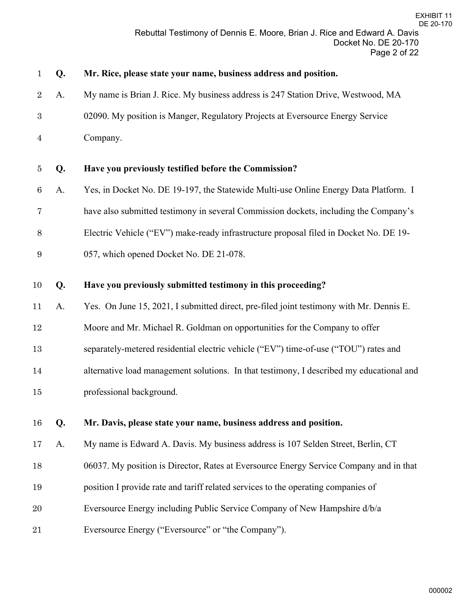| $\mathbf{1}$    | Q. | Mr. Rice, please state your name, business address and position.                         |
|-----------------|----|------------------------------------------------------------------------------------------|
| $\overline{2}$  | A. | My name is Brian J. Rice. My business address is 247 Station Drive, Westwood, MA         |
| $\sqrt{3}$      |    | 02090. My position is Manger, Regulatory Projects at Eversource Energy Service           |
| $\overline{4}$  |    | Company.                                                                                 |
| 5               | Q. | Have you previously testified before the Commission?                                     |
| $6\phantom{.}6$ | A. | Yes, in Docket No. DE 19-197, the Statewide Multi-use Online Energy Data Platform. I     |
| 7               |    | have also submitted testimony in several Commission dockets, including the Company's     |
| 8               |    | Electric Vehicle ("EV") make-ready infrastructure proposal filed in Docket No. DE 19-    |
| 9               |    | 057, which opened Docket No. DE 21-078.                                                  |
| 10              | Q. | Have you previously submitted testimony in this proceeding?                              |
| 11              | A. | Yes. On June 15, 2021, I submitted direct, pre-filed joint testimony with Mr. Dennis E.  |
| $12\,$          |    | Moore and Mr. Michael R. Goldman on opportunities for the Company to offer               |
| 13              |    | separately-metered residential electric vehicle ("EV") time-of-use ("TOU") rates and     |
| 14              |    | alternative load management solutions. In that testimony, I described my educational and |
| $15\,$          |    | professional background.                                                                 |
| 16              | Q. | Mr. Davis, please state your name, business address and position.                        |
| 17              | A. | My name is Edward A. Davis. My business address is 107 Selden Street, Berlin, CT         |
| 18              |    | 06037. My position is Director, Rates at Eversource Energy Service Company and in that   |
| 19              |    | position I provide rate and tariff related services to the operating companies of        |
| 20              |    | Eversource Energy including Public Service Company of New Hampshire d/b/a                |
| 21              |    | Eversource Energy ("Eversource" or "the Company").                                       |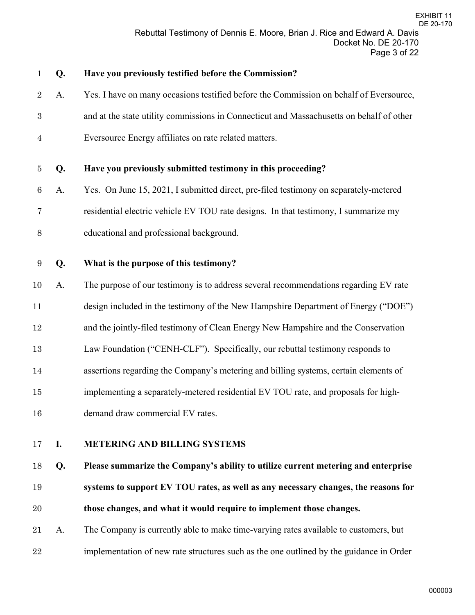| $\mathbf{1}$     | Q. | Have you previously testified before the Commission?                                     |
|------------------|----|------------------------------------------------------------------------------------------|
| $\overline{2}$   | A. | Yes. I have on many occasions testified before the Commission on behalf of Eversource,   |
| $\boldsymbol{3}$ |    | and at the state utility commissions in Connecticut and Massachusetts on behalf of other |
| $\overline{4}$   |    | Eversource Energy affiliates on rate related matters.                                    |
| 5                | Q. | Have you previously submitted testimony in this proceeding?                              |
| $\,6\,$          | A. | Yes. On June 15, 2021, I submitted direct, pre-filed testimony on separately-metered     |
| 7                |    | residential electric vehicle EV TOU rate designs. In that testimony, I summarize my      |
| $8\,$            |    | educational and professional background.                                                 |
| 9                | Q. | What is the purpose of this testimony?                                                   |
| 10               | A. | The purpose of our testimony is to address several recommendations regarding EV rate     |
| 11               |    | design included in the testimony of the New Hampshire Department of Energy ("DOE")       |
| 12               |    | and the jointly-filed testimony of Clean Energy New Hampshire and the Conservation       |
| 13               |    | Law Foundation ("CENH-CLF"). Specifically, our rebuttal testimony responds to            |
| 14               |    | assertions regarding the Company's metering and billing systems, certain elements of     |
| $15\,$           |    | implementing a separately-metered residential EV TOU rate, and proposals for high-       |
| 16               |    | demand draw commercial EV rates.                                                         |
| 17               | I. | <b>METERING AND BILLING SYSTEMS</b>                                                      |
| 18               | Q. | Please summarize the Company's ability to utilize current metering and enterprise        |
| 19               |    | systems to support EV TOU rates, as well as any necessary changes, the reasons for       |
| 20               |    | those changes, and what it would require to implement those changes.                     |

 A. The Company is currently able to make time-varying rates available to customers, but implementation of new rate structures such as the one outlined by the guidance in Order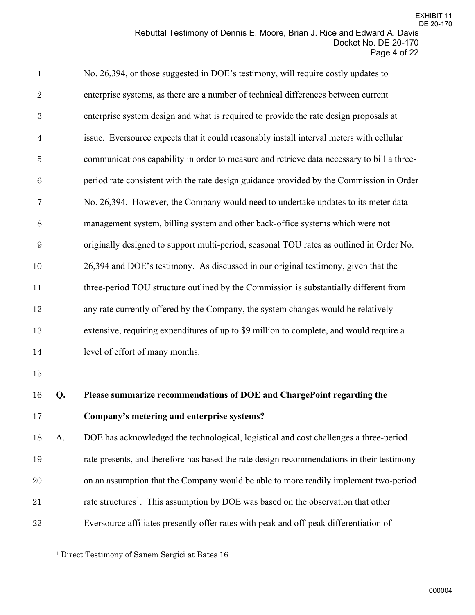| $\mathbf{1}$     |    | No. 26,394, or those suggested in DOE's testimony, will require costly updates to          |
|------------------|----|--------------------------------------------------------------------------------------------|
| $\overline{2}$   |    | enterprise systems, as there are a number of technical differences between current         |
| $\boldsymbol{3}$ |    | enterprise system design and what is required to provide the rate design proposals at      |
| $\overline{4}$   |    | issue. Eversource expects that it could reasonably install interval meters with cellular   |
| $\bf 5$          |    | communications capability in order to measure and retrieve data necessary to bill a three- |
| $\,6\,$          |    | period rate consistent with the rate design guidance provided by the Commission in Order   |
| 7                |    | No. 26,394. However, the Company would need to undertake updates to its meter data         |
| 8                |    | management system, billing system and other back-office systems which were not             |
| $\boldsymbol{9}$ |    | originally designed to support multi-period, seasonal TOU rates as outlined in Order No.   |
| 10               |    | 26,394 and DOE's testimony. As discussed in our original testimony, given that the         |
| 11               |    | three-period TOU structure outlined by the Commission is substantially different from      |
| 12               |    | any rate currently offered by the Company, the system changes would be relatively          |
| 13               |    | extensive, requiring expenditures of up to \$9 million to complete, and would require a    |
| 14               |    | level of effort of many months.                                                            |
| $15\,$           |    |                                                                                            |
| 16               | Q. | Please summarize recommendations of DOE and ChargePoint regarding the                      |
| $\sim$ $\sim$    |    |                                                                                            |

**Company's metering and enterprise systems?**

 A. DOE has acknowledged the technological, logistical and cost challenges a three-period rate presents, and therefore has based the rate design recommendations in their testimony on an assumption that the Company would be able to more readily implement two-period [1](#page-3-0) rate structures<sup>1</sup>. This assumption by DOE was based on the observation that other Eversource affiliates presently offer rates with peak and off-peak differentiation of

<span id="page-3-0"></span>Direct Testimony of Sanem Sergici at Bates 16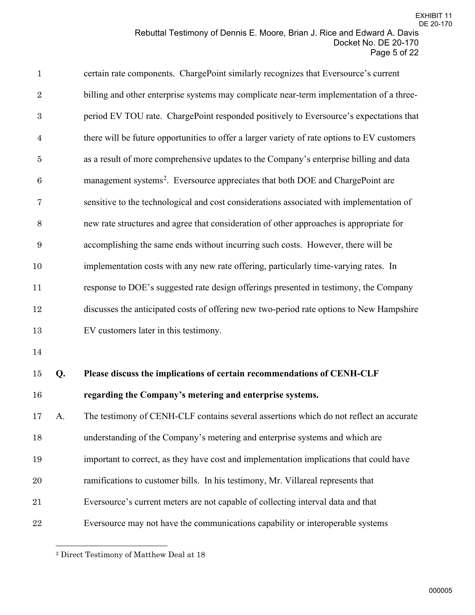| $\mathbf{1}$   |    | certain rate components. ChargePoint similarly recognizes that Eversource's current          |
|----------------|----|----------------------------------------------------------------------------------------------|
| $\overline{2}$ |    | billing and other enterprise systems may complicate near-term implementation of a three-     |
| $\sqrt{3}$     |    | period EV TOU rate. ChargePoint responded positively to Eversource's expectations that       |
| $\overline{4}$ |    | there will be future opportunities to offer a larger variety of rate options to EV customers |
| $\bf 5$        |    | as a result of more comprehensive updates to the Company's enterprise billing and data       |
| $\,6\,$        |    | management systems <sup>2</sup> . Eversource appreciates that both DOE and ChargePoint are   |
| $\overline{7}$ |    | sensitive to the technological and cost considerations associated with implementation of     |
| 8              |    | new rate structures and agree that consideration of other approaches is appropriate for      |
| $9\,$          |    | accomplishing the same ends without incurring such costs. However, there will be             |
| 10             |    | implementation costs with any new rate offering, particularly time-varying rates. In         |
| 11             |    | response to DOE's suggested rate design offerings presented in testimony, the Company        |
| 12             |    | discusses the anticipated costs of offering new two-period rate options to New Hampshire     |
| 13             |    | EV customers later in this testimony.                                                        |
| 14             |    |                                                                                              |
| 15             | Q. | Please discuss the implications of certain recommendations of CENH-CLF                       |
| 16             |    | regarding the Company's metering and enterprise systems.                                     |
| 17             | A. | The testimony of CENH-CLF contains several assertions which do not reflect an accurate       |
| 18             |    | understanding of the Company's metering and enterprise systems and which are                 |

- important to correct, as they have cost and implementation implications that could have
- ramifications to customer bills. In his testimony, Mr. Villareal represents that
- Eversource's current meters are not capable of collecting interval data and that
- <span id="page-4-0"></span>Eversource may not have the communications capability or interoperable systems

Direct Testimony of Matthew Deal at 18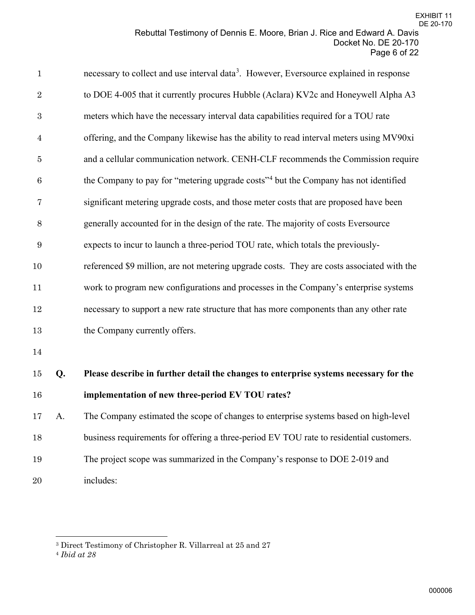| $\mathbf{1}$   |    | necessary to collect and use interval data <sup>3</sup> . However, Eversource explained in response |
|----------------|----|-----------------------------------------------------------------------------------------------------|
| $\sqrt{2}$     |    | to DOE 4-005 that it currently procures Hubble (Aclara) KV2c and Honeywell Alpha A3                 |
| $\sqrt{3}$     |    | meters which have the necessary interval data capabilities required for a TOU rate                  |
| $\overline{4}$ |    | offering, and the Company likewise has the ability to read interval meters using MV90xi             |
| $\bf 5$        |    | and a cellular communication network. CENH-CLF recommends the Commission require                    |
| 6              |    | the Company to pay for "metering upgrade costs" <sup>4</sup> but the Company has not identified     |
| $\overline{7}$ |    | significant metering upgrade costs, and those meter costs that are proposed have been               |
| $8\,$          |    | generally accounted for in the design of the rate. The majority of costs Eversource                 |
| 9              |    | expects to incur to launch a three-period TOU rate, which totals the previously-                    |
| 10             |    | referenced \$9 million, are not metering upgrade costs. They are costs associated with the          |
| 11             |    | work to program new configurations and processes in the Company's enterprise systems                |
| 12             |    | necessary to support a new rate structure that has more components than any other rate              |
| 13             |    | the Company currently offers.                                                                       |
| 14             |    |                                                                                                     |
| $15\,$         | Q. | Please describe in further detail the changes to enterprise systems necessary for the               |
| 16             |    | implementation of new three-period EV TOU rates?                                                    |
| 17             | A. | The Company estimated the scope of changes to enterprise systems based on high-level                |
| 18             |    | business requirements for offering a three-period EV TOU rate to residential customers.             |
| 19             |    | The project scope was summarized in the Company's response to DOE 2-019 and                         |

includes:

<span id="page-5-0"></span>Direct Testimony of Christopher R. Villarreal at 25 and 27

<span id="page-5-1"></span>*Ibid at 28*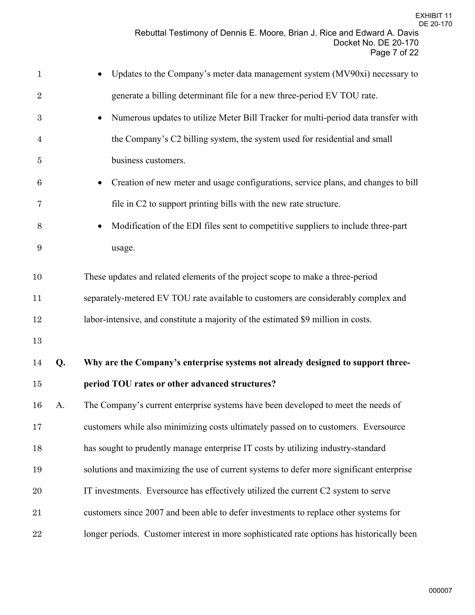| $\mathbf{1}$   |    | Updates to the Company's meter data management system (MV90xi) necessary to                    |
|----------------|----|------------------------------------------------------------------------------------------------|
| $\sqrt{2}$     |    | generate a billing determinant file for a new three-period EV TOU rate.                        |
| 3              |    | Numerous updates to utilize Meter Bill Tracker for multi-period data transfer with             |
| $\overline{4}$ |    | the Company's C2 billing system, the system used for residential and small                     |
| 5              |    | business customers.                                                                            |
| 6              |    | Creation of new meter and usage configurations, service plans, and changes to bill             |
| 7              |    | file in C2 to support printing bills with the new rate structure.                              |
| 8              |    | Modification of the EDI files sent to competitive suppliers to include three-part<br>$\bullet$ |
| 9              |    | usage.                                                                                         |
| 10             |    | These updates and related elements of the project scope to make a three-period                 |
| 11             |    | separately-metered EV TOU rate available to customers are considerably complex and             |
| 12             |    | labor-intensive, and constitute a majority of the estimated \$9 million in costs.              |
| 13             |    |                                                                                                |
| 14             | Q. | Why are the Company's enterprise systems not already designed to support three-                |
| 15             |    | period TOU rates or other advanced structures?                                                 |
| 16             | A. | The Company's current enterprise systems have been developed to meet the needs of              |
| $17\,$         |    | customers while also minimizing costs ultimately passed on to customers. Eversource            |
| 18             |    | has sought to prudently manage enterprise IT costs by utilizing industry-standard              |
| 19             |    | solutions and maximizing the use of current systems to defer more significant enterprise       |
| 20             |    | IT investments. Eversource has effectively utilized the current C2 system to serve             |
| 21             |    | customers since 2007 and been able to defer investments to replace other systems for           |
| $\bf{22}$      |    | longer periods. Customer interest in more sophisticated rate options has historically been     |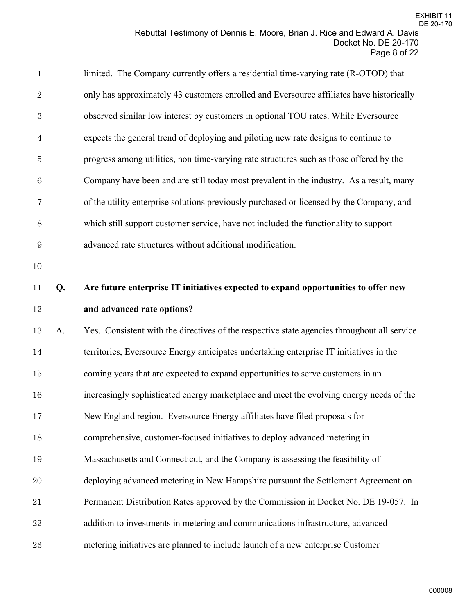| $\mathbf{1}$     |    | limited. The Company currently offers a residential time-varying rate (R-OTOD) that         |
|------------------|----|---------------------------------------------------------------------------------------------|
| $\sqrt{2}$       |    | only has approximately 43 customers enrolled and Eversource affiliates have historically    |
| $\boldsymbol{3}$ |    | observed similar low interest by customers in optional TOU rates. While Eversource          |
| $\overline{4}$   |    | expects the general trend of deploying and piloting new rate designs to continue to         |
| $\bf 5$          |    | progress among utilities, non time-varying rate structures such as those offered by the     |
| $\,6$            |    | Company have been and are still today most prevalent in the industry. As a result, many     |
| 7                |    | of the utility enterprise solutions previously purchased or licensed by the Company, and    |
| $8\,$            |    | which still support customer service, have not included the functionality to support        |
| 9                |    | advanced rate structures without additional modification.                                   |
| 10               |    |                                                                                             |
| 11               | Q. | Are future enterprise IT initiatives expected to expand opportunities to offer new          |
| $12\,$           |    | and advanced rate options?                                                                  |
| 13               | A. | Yes. Consistent with the directives of the respective state agencies throughout all service |
| 14               |    | territories, Eversource Energy anticipates undertaking enterprise IT initiatives in the     |
| $15\,$           |    | coming years that are expected to expand opportunities to serve customers in an             |
| 16               |    | increasingly sophisticated energy marketplace and meet the evolving energy needs of the     |
| 17               |    | New England region. Eversource Energy affiliates have filed proposals for                   |
| 18               |    | comprehensive, customer-focused initiatives to deploy advanced metering in                  |
| 19               |    | Massachusetts and Connecticut, and the Company is assessing the feasibility of              |
| 20               |    | deploying advanced metering in New Hampshire pursuant the Settlement Agreement on           |
| 21               |    | Permanent Distribution Rates approved by the Commission in Docket No. DE 19-057. In         |
| 22               |    | addition to investments in metering and communications infrastructure, advanced             |
| 23               |    | metering initiatives are planned to include launch of a new enterprise Customer             |
|                  |    |                                                                                             |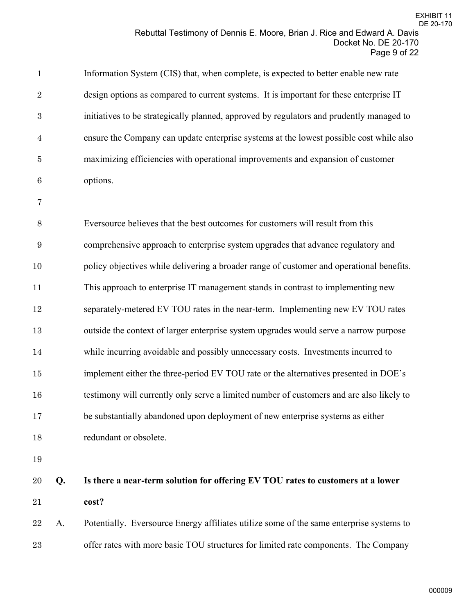| $\mathbf{1}$   |    | Information System (CIS) that, when complete, is expected to better enable new rate      |
|----------------|----|------------------------------------------------------------------------------------------|
| $\overline{2}$ |    | design options as compared to current systems. It is important for these enterprise IT   |
| $\sqrt{3}$     |    | initiatives to be strategically planned, approved by regulators and prudently managed to |
| $\overline{4}$ |    | ensure the Company can update enterprise systems at the lowest possible cost while also  |
| $\bf 5$        |    | maximizing efficiencies with operational improvements and expansion of customer          |
| $\,6$          |    | options.                                                                                 |
| 7              |    |                                                                                          |
| $8\,$          |    | Eversource believes that the best outcomes for customers will result from this           |
| $9\,$          |    | comprehensive approach to enterprise system upgrades that advance regulatory and         |
| 10             |    | policy objectives while delivering a broader range of customer and operational benefits. |
| 11             |    | This approach to enterprise IT management stands in contrast to implementing new         |
| $12\,$         |    | separately-metered EV TOU rates in the near-term. Implementing new EV TOU rates          |
| 13             |    | outside the context of larger enterprise system upgrades would serve a narrow purpose    |
| $14\,$         |    | while incurring avoidable and possibly unnecessary costs. Investments incurred to        |
| $15\,$         |    | implement either the three-period EV TOU rate or the alternatives presented in DOE's     |
| 16             |    | testimony will currently only serve a limited number of customers and are also likely to |
| 17             |    | be substantially abandoned upon deployment of new enterprise systems as either           |
| 18             |    | redundant or obsolete.                                                                   |
| 19             |    |                                                                                          |
| 20             | Q. | Is there a near-term solution for offering EV TOU rates to customers at a lower          |
| 21             |    | cost?                                                                                    |
| 22             | A. | Potentially. Eversource Energy affiliates utilize some of the same enterprise systems to |
|                |    |                                                                                          |

offer rates with more basic TOU structures for limited rate components. The Company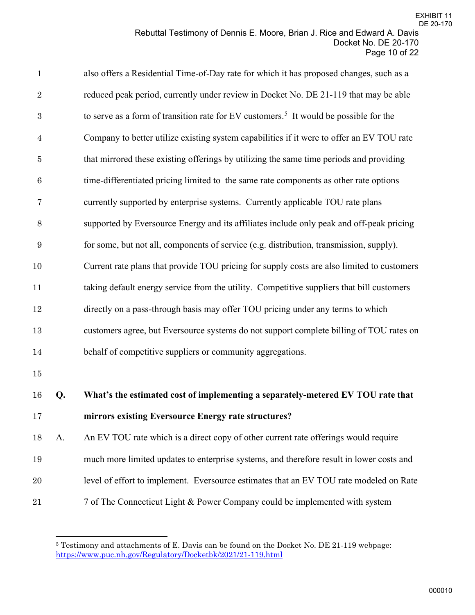| $\mathbf{1}$   |    | also offers a Residential Time-of-Day rate for which it has proposed changes, such as a           |
|----------------|----|---------------------------------------------------------------------------------------------------|
| $\,2$          |    | reduced peak period, currently under review in Docket No. DE 21-119 that may be able              |
| $\,3$          |    | to serve as a form of transition rate for EV customers. <sup>5</sup> It would be possible for the |
| $\overline{4}$ |    | Company to better utilize existing system capabilities if it were to offer an EV TOU rate         |
| $\bf 5$        |    | that mirrored these existing offerings by utilizing the same time periods and providing           |
| $\,6$          |    | time-differentiated pricing limited to the same rate components as other rate options             |
| 7              |    | currently supported by enterprise systems. Currently applicable TOU rate plans                    |
| $8\,$          |    | supported by Eversource Energy and its affiliates include only peak and off-peak pricing          |
| 9              |    | for some, but not all, components of service (e.g. distribution, transmission, supply).           |
| 10             |    | Current rate plans that provide TOU pricing for supply costs are also limited to customers        |
| 11             |    | taking default energy service from the utility. Competitive suppliers that bill customers         |
| 12             |    | directly on a pass-through basis may offer TOU pricing under any terms to which                   |
| 13             |    | customers agree, but Eversource systems do not support complete billing of TOU rates on           |
| 14             |    | behalf of competitive suppliers or community aggregations.                                        |
| 15             |    |                                                                                                   |
| 16             | Q. | What's the estimated cost of implementing a separately-metered EV TOU rate that                   |
| 17             |    | mirrors existing Eversource Energy rate structures?                                               |
| 18             | A. | An EV TOU rate which is a direct copy of other current rate offerings would require               |
| 19             |    | much more limited updates to enterprise systems, and therefore result in lower costs and          |
| $20\,$         |    | level of effort to implement. Eversource estimates that an EV TOU rate modeled on Rate            |
| 21             |    | 7 of The Connecticut Light & Power Company could be implemented with system                       |

<span id="page-9-0"></span> Testimony and attachments of E. Davis can be found on the Docket No. DE 21-119 webpage: <https://www.puc.nh.gov/Regulatory/Docketbk/2021/21-119.html>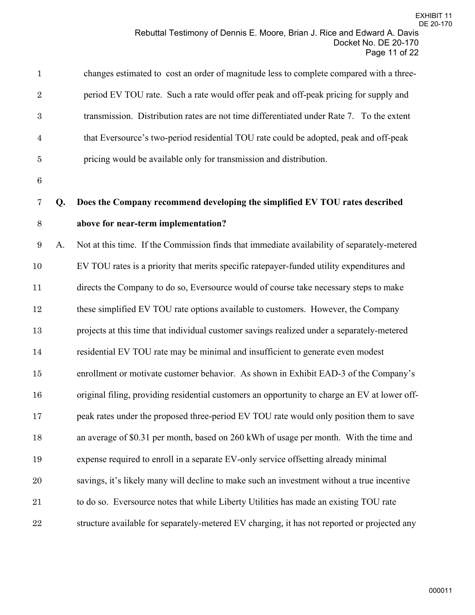| $\mathbf{1}$   |    | changes estimated to cost an order of magnitude less to complete compared with a three-       |
|----------------|----|-----------------------------------------------------------------------------------------------|
| $\sqrt{2}$     |    | period EV TOU rate. Such a rate would offer peak and off-peak pricing for supply and          |
| $\sqrt{3}$     |    | transmission. Distribution rates are not time differentiated under Rate 7. To the extent      |
| $\overline{4}$ |    | that Eversource's two-period residential TOU rate could be adopted, peak and off-peak         |
| 5              |    | pricing would be available only for transmission and distribution.                            |
| $\,6\,$        |    |                                                                                               |
| 7              | Q. | Does the Company recommend developing the simplified EV TOU rates described                   |
| $8\,$          |    | above for near-term implementation?                                                           |
| 9              | A. | Not at this time. If the Commission finds that immediate availability of separately-metered   |
| 10             |    | EV TOU rates is a priority that merits specific ratepayer-funded utility expenditures and     |
| 11             |    | directs the Company to do so, Eversource would of course take necessary steps to make         |
| $12\,$         |    | these simplified EV TOU rate options available to customers. However, the Company             |
| 13             |    | projects at this time that individual customer savings realized under a separately-metered    |
| 14             |    | residential EV TOU rate may be minimal and insufficient to generate even modest               |
| $15\,$         |    | enrollment or motivate customer behavior. As shown in Exhibit EAD-3 of the Company's          |
| 16             |    | original filing, providing residential customers an opportunity to charge an EV at lower off- |
| 17             |    | peak rates under the proposed three-period EV TOU rate would only position them to save       |
| 18             |    | an average of \$0.31 per month, based on 260 kWh of usage per month. With the time and        |
| 19             |    | expense required to enroll in a separate EV-only service offsetting already minimal           |
| 20             |    | savings, it's likely many will decline to make such an investment without a true incentive    |
| 21             |    | to do so. Eversource notes that while Liberty Utilities has made an existing TOU rate         |
| 22             |    | structure available for separately-metered EV charging, it has not reported or projected any  |
|                |    |                                                                                               |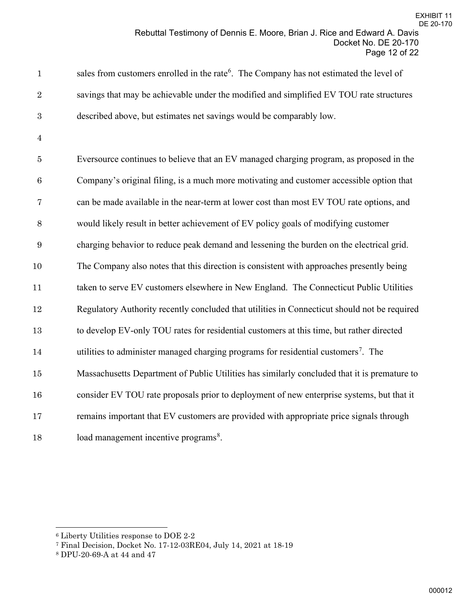| $\mathbf{1}$  | sales from customers enrolled in the rate <sup>6</sup> . The Company has not estimated the level of |
|---------------|-----------------------------------------------------------------------------------------------------|
| $2^{\circ}$   | savings that may be achievable under the modified and simplified EV TOU rate structures             |
| $\mathcal{S}$ | described above, but estimates net savings would be comparably low.                                 |

Eversource continues to believe that an EV managed charging program, as proposed in the Company's original filing, is a much more motivating and customer accessible option that can be made available in the near-term at lower cost than most EV TOU rate options, and would likely result in better achievement of EV policy goals of modifying customer charging behavior to reduce peak demand and lessening the burden on the electrical grid. The Company also notes that this direction is consistent with approaches presently being 11 taken to serve EV customers elsewhere in New England. The Connecticut Public Utilities Regulatory Authority recently concluded that utilities in Connecticut should not be required to develop EV-only TOU rates for residential customers at this time, but rather directed 14 utilities to administer managed charging programs for residential customers<sup>[7](#page-11-1)</sup>. The Massachusetts Department of Public Utilities has similarly concluded that it is premature to consider EV TOU rate proposals prior to deployment of new enterprise systems, but that it remains important that EV customers are provided with appropriate price signals through [8](#page-11-2) load management incentive programs<sup>8</sup>.

<span id="page-11-0"></span>Liberty Utilities response to DOE 2-2

<span id="page-11-1"></span>Final Decision, Docket No. 17-12-03RE04, July 14, 2021 at 18-19

<span id="page-11-2"></span>DPU-20-69-A at 44 and 47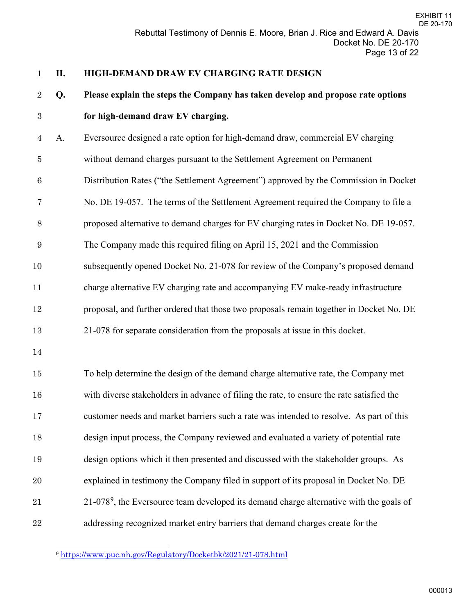# **II. HIGH-DEMAND DRAW EV CHARGING RATE DESIGN**

# **Q. Please explain the steps the Company has taken develop and propose rate options**

# **for high-demand draw EV charging.**

A. Eversource designed a rate option for high-demand draw, commercial EV charging

without demand charges pursuant to the Settlement Agreement on Permanent

Distribution Rates ("the Settlement Agreement") approved by the Commission in Docket

No. DE 19-057. The terms of the Settlement Agreement required the Company to file a

proposed alternative to demand charges for EV charging rates in Docket No. DE 19-057.

The Company made this required filing on April 15, 2021 and the Commission

subsequently opened Docket No. 21-078 for review of the Company's proposed demand

charge alternative EV charging rate and accompanying EV make-ready infrastructure

proposal, and further ordered that those two proposals remain together in Docket No. DE

21-078 for separate consideration from the proposals at issue in this docket.

 To help determine the design of the demand charge alternative rate, the Company met with diverse stakeholders in advance of filing the rate, to ensure the rate satisfied the customer needs and market barriers such a rate was intended to resolve. As part of this design input process, the Company reviewed and evaluated a variety of potential rate design options which it then presented and discussed with the stakeholder groups. As explained in testimony the Company filed in support of its proposal in Docket No. DE  $-21-078<sup>9</sup>$  $-21-078<sup>9</sup>$  $-21-078<sup>9</sup>$ , the Eversource team developed its demand charge alternative with the goals of addressing recognized market entry barriers that demand charges create for the

<span id="page-12-0"></span><https://www.puc.nh.gov/Regulatory/Docketbk/2021/21-078.html>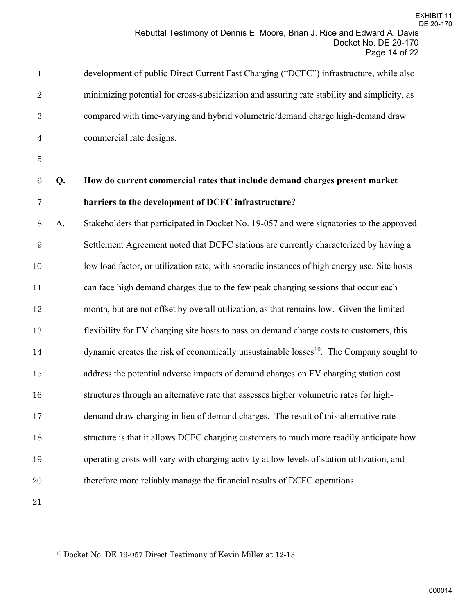| $\mathbf{1}$     |    | development of public Direct Current Fast Charging ("DCFC") infrastructure, while also              |
|------------------|----|-----------------------------------------------------------------------------------------------------|
| $\sqrt{2}$       |    | minimizing potential for cross-subsidization and assuring rate stability and simplicity, as         |
| $\boldsymbol{3}$ |    | compared with time-varying and hybrid volumetric/demand charge high-demand draw                     |
| $\overline{4}$   |    | commercial rate designs.                                                                            |
| 5                |    |                                                                                                     |
| $\,6\,$          | Q. | How do current commercial rates that include demand charges present market                          |
| 7                |    | barriers to the development of DCFC infrastructure?                                                 |
| $8\,$            | A. | Stakeholders that participated in Docket No. 19-057 and were signatories to the approved            |
| $\boldsymbol{9}$ |    | Settlement Agreement noted that DCFC stations are currently characterized by having a               |
| 10               |    | low load factor, or utilization rate, with sporadic instances of high energy use. Site hosts        |
| 11               |    | can face high demand charges due to the few peak charging sessions that occur each                  |
| 12               |    | month, but are not offset by overall utilization, as that remains low. Given the limited            |
| 13               |    | flexibility for EV charging site hosts to pass on demand charge costs to customers, this            |
| 14               |    | dynamic creates the risk of economically unsustainable losses <sup>10</sup> . The Company sought to |
| 15               |    | address the potential adverse impacts of demand charges on EV charging station cost                 |
| 16               |    | structures through an alternative rate that assesses higher volumetric rates for high-              |
| 17               |    | demand draw charging in lieu of demand charges. The result of this alternative rate                 |
| 18               |    | structure is that it allows DCFC charging customers to much more readily anticipate how             |
| 19               |    | operating costs will vary with charging activity at low levels of station utilization, and          |
| 20               |    | therefore more reliably manage the financial results of DCFC operations.                            |
| $21\,$           |    |                                                                                                     |

<span id="page-13-0"></span>Docket No. DE 19-057 Direct Testimony of Kevin Miller at 12-13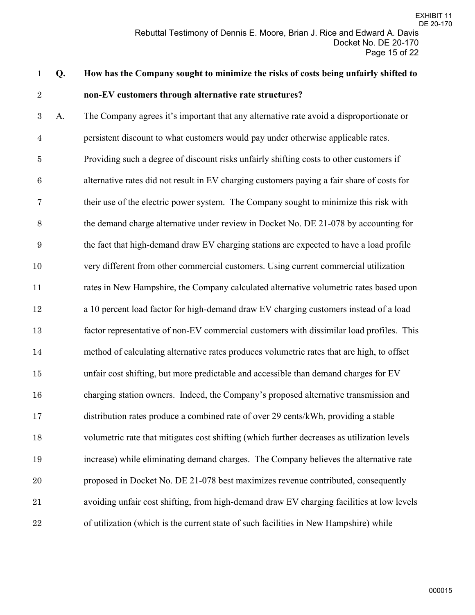# **Q. How has the Company sought to minimize the risks of costs being unfairly shifted to non-EV customers through alternative rate structures?**

A. The Company agrees it's important that any alternative rate avoid a disproportionate or persistent discount to what customers would pay under otherwise applicable rates. Providing such a degree of discount risks unfairly shifting costs to other customers if alternative rates did not result in EV charging customers paying a fair share of costs for their use of the electric power system. The Company sought to minimize this risk with the demand charge alternative under review in Docket No. DE 21-078 by accounting for the fact that high-demand draw EV charging stations are expected to have a load profile very different from other commercial customers. Using current commercial utilization rates in New Hampshire, the Company calculated alternative volumetric rates based upon a 10 percent load factor for high-demand draw EV charging customers instead of a load factor representative of non-EV commercial customers with dissimilar load profiles. This method of calculating alternative rates produces volumetric rates that are high, to offset unfair cost shifting, but more predictable and accessible than demand charges for EV charging station owners. Indeed, the Company's proposed alternative transmission and distribution rates produce a combined rate of over 29 cents/kWh, providing a stable volumetric rate that mitigates cost shifting (which further decreases as utilization levels increase) while eliminating demand charges. The Company believes the alternative rate proposed in Docket No. DE 21-078 best maximizes revenue contributed, consequently avoiding unfair cost shifting, from high-demand draw EV charging facilities at low levels of utilization (which is the current state of such facilities in New Hampshire) while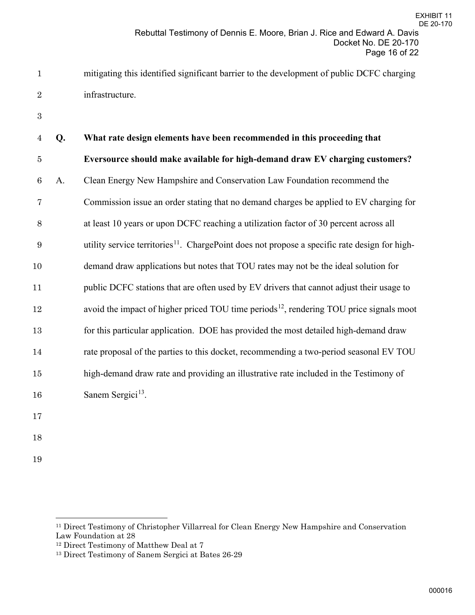mitigating this identified significant barrier to the development of public DCFC charging infrastructure.

| $\overline{4}$ | Q. | What rate design elements have been recommended in this proceeding that                                   |
|----------------|----|-----------------------------------------------------------------------------------------------------------|
| $\bf 5$        |    | Eversource should make available for high-demand draw EV charging customers?                              |
| $\,6\,$        | A. | Clean Energy New Hampshire and Conservation Law Foundation recommend the                                  |
| 7              |    | Commission issue an order stating that no demand charges be applied to EV charging for                    |
| 8              |    | at least 10 years or upon DCFC reaching a utilization factor of 30 percent across all                     |
| 9              |    | utility service territories <sup>11</sup> . ChargePoint does not propose a specific rate design for high- |
| 10             |    | demand draw applications but notes that TOU rates may not be the ideal solution for                       |
| 11             |    | public DCFC stations that are often used by EV drivers that cannot adjust their usage to                  |
| 12             |    | avoid the impact of higher priced TOU time periods <sup>12</sup> , rendering TOU price signals moot       |
| 13             |    | for this particular application. DOE has provided the most detailed high-demand draw                      |
| 14             |    | rate proposal of the parties to this docket, recommending a two-period seasonal EV TOU                    |
| 15             |    | high-demand draw rate and providing an illustrative rate included in the Testimony of                     |
| 16             |    | Sanem Sergici <sup>13</sup> .                                                                             |
| 17             |    |                                                                                                           |
| 18             |    |                                                                                                           |

<span id="page-15-0"></span><sup>&</sup>lt;sup>11</sup> Direct Testimony of Christopher Villarreal for Clean Energy New Hampshire and Conservation Law Foundation at 28

<span id="page-15-1"></span> $^{\rm 12}$  Direct Testimony of Matthew Deal at  $7$ 

<span id="page-15-2"></span>Direct Testimony of Sanem Sergici at Bates 26-29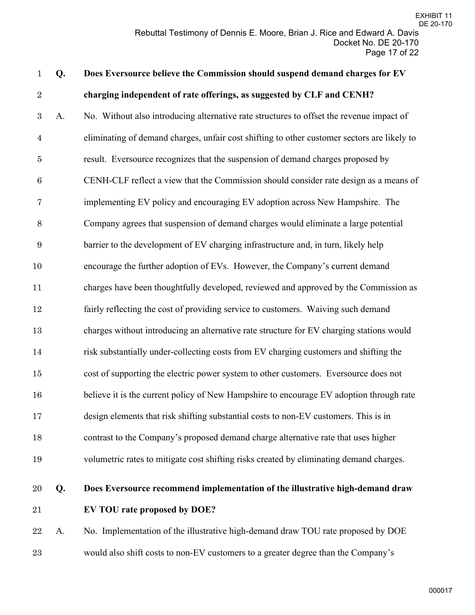| $\mathbf{1}$     | Q. | Does Eversource believe the Commission should suspend demand charges for EV                 |
|------------------|----|---------------------------------------------------------------------------------------------|
| $\sqrt{2}$       |    | charging independent of rate offerings, as suggested by CLF and CENH?                       |
| $\sqrt{3}$       | A. | No. Without also introducing alternative rate structures to offset the revenue impact of    |
| $\overline{4}$   |    | eliminating of demand charges, unfair cost shifting to other customer sectors are likely to |
| $\overline{5}$   |    | result. Eversource recognizes that the suspension of demand charges proposed by             |
| $\boldsymbol{6}$ |    | CENH-CLF reflect a view that the Commission should consider rate design as a means of       |
| 7                |    | implementing EV policy and encouraging EV adoption across New Hampshire. The                |
| $8\,$            |    | Company agrees that suspension of demand charges would eliminate a large potential          |
| $\boldsymbol{9}$ |    | barrier to the development of EV charging infrastructure and, in turn, likely help          |
| 10               |    | encourage the further adoption of EVs. However, the Company's current demand                |
| 11               |    | charges have been thoughtfully developed, reviewed and approved by the Commission as        |
| $12\,$           |    | fairly reflecting the cost of providing service to customers. Waiving such demand           |
| 13               |    | charges without introducing an alternative rate structure for EV charging stations would    |
| $14\,$           |    | risk substantially under-collecting costs from EV charging customers and shifting the       |
| $15\,$           |    | cost of supporting the electric power system to other customers. Eversource does not        |
| 16               |    | believe it is the current policy of New Hampshire to encourage EV adoption through rate     |
| 17               |    | design elements that risk shifting substantial costs to non-EV customers. This is in        |
| 18               |    | contrast to the Company's proposed demand charge alternative rate that uses higher          |
| 19               |    | volumetric rates to mitigate cost shifting risks created by eliminating demand charges.     |
| 20               | Q. | Does Eversource recommend implementation of the illustrative high-demand draw               |
| 21               |    | EV TOU rate proposed by DOE?                                                                |
| 22               | A. | No. Implementation of the illustrative high-demand draw TOU rate proposed by DOE            |

would also shift costs to non-EV customers to a greater degree than the Company's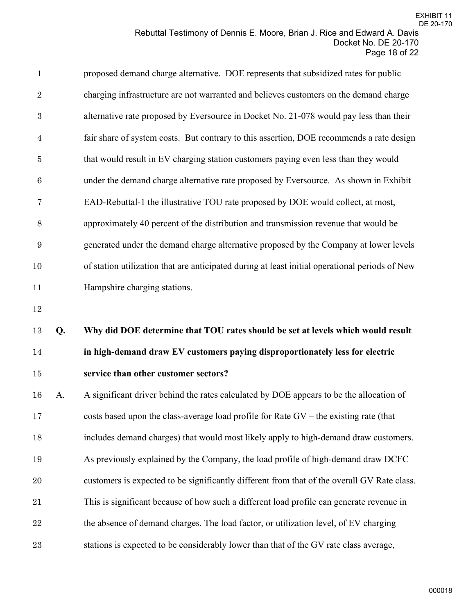| $\mathbf{1}$     |    | proposed demand charge alternative. DOE represents that subsidized rates for public            |
|------------------|----|------------------------------------------------------------------------------------------------|
| $\sqrt{2}$       |    | charging infrastructure are not warranted and believes customers on the demand charge          |
| 3                |    | alternative rate proposed by Eversource in Docket No. 21-078 would pay less than their         |
| $\overline{4}$   |    | fair share of system costs. But contrary to this assertion, DOE recommends a rate design       |
| 5                |    | that would result in EV charging station customers paying even less than they would            |
| $\boldsymbol{6}$ |    | under the demand charge alternative rate proposed by Eversource. As shown in Exhibit           |
| $\overline{7}$   |    | EAD-Rebuttal-1 the illustrative TOU rate proposed by DOE would collect, at most,               |
| 8                |    | approximately 40 percent of the distribution and transmission revenue that would be            |
| $\boldsymbol{9}$ |    | generated under the demand charge alternative proposed by the Company at lower levels          |
| 10               |    | of station utilization that are anticipated during at least initial operational periods of New |
| 11               |    | Hampshire charging stations.                                                                   |
|                  |    |                                                                                                |
| 12               |    |                                                                                                |
| 13               | Q. | Why did DOE determine that TOU rates should be set at levels which would result                |
| 14               |    | in high-demand draw EV customers paying disproportionately less for electric                   |
| 15               |    | service than other customer sectors?                                                           |
| 16               | A. | A significant driver behind the rates calculated by DOE appears to be the allocation of        |
| 17               |    | costs based upon the class-average load profile for Rate GV - the existing rate (that          |
| 18               |    | includes demand charges) that would most likely apply to high-demand draw customers.           |
| 19               |    | As previously explained by the Company, the load profile of high-demand draw DCFC              |
| 20               |    | customers is expected to be significantly different from that of the overall GV Rate class.    |
| 21               |    | This is significant because of how such a different load profile can generate revenue in       |
| 22               |    | the absence of demand charges. The load factor, or utilization level, of EV charging           |

stations is expected to be considerably lower than that of the GV rate class average,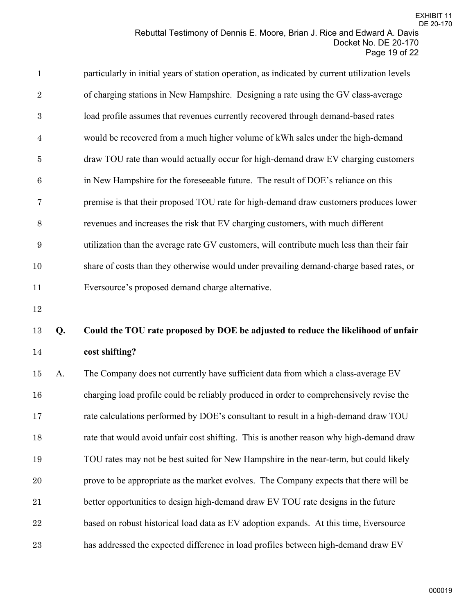| $\mathbf{1}$     | particularly in initial years of station operation, as indicated by current utilization levels |
|------------------|------------------------------------------------------------------------------------------------|
| $\overline{2}$   | of charging stations in New Hampshire. Designing a rate using the GV class-average             |
| 3                | load profile assumes that revenues currently recovered through demand-based rates              |
| $\overline{4}$   | would be recovered from a much higher volume of kWh sales under the high-demand                |
| $\overline{5}$   | draw TOU rate than would actually occur for high-demand draw EV charging customers             |
| $\boldsymbol{6}$ | in New Hampshire for the foreseeable future. The result of DOE's reliance on this              |
| 7                | premise is that their proposed TOU rate for high-demand draw customers produces lower          |
| 8                | revenues and increases the risk that EV charging customers, with much different                |
| 9                | utilization than the average rate GV customers, will contribute much less than their fair      |
| 10               | share of costs than they otherwise would under prevailing demand-charge based rates, or        |
| 11               | Eversource's proposed demand charge alternative.                                               |
|                  |                                                                                                |

# **Q. Could the TOU rate proposed by DOE be adjusted to reduce the likelihood of unfair cost shifting?**

 A. The Company does not currently have sufficient data from which a class-average EV charging load profile could be reliably produced in order to comprehensively revise the rate calculations performed by DOE's consultant to result in a high-demand draw TOU rate that would avoid unfair cost shifting. This is another reason why high-demand draw TOU rates may not be best suited for New Hampshire in the near-term, but could likely prove to be appropriate as the market evolves. The Company expects that there will be better opportunities to design high-demand draw EV TOU rate designs in the future 22 based on robust historical load data as EV adoption expands. At this time, Eversource has addressed the expected difference in load profiles between high-demand draw EV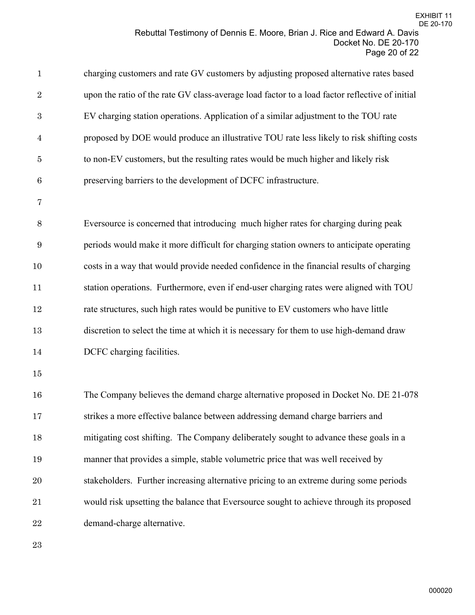| $\mathbf{1}$     | charging customers and rate GV customers by adjusting proposed alternative rates based         |
|------------------|------------------------------------------------------------------------------------------------|
| $\overline{2}$   | upon the ratio of the rate GV class-average load factor to a load factor reflective of initial |
| $\boldsymbol{3}$ | EV charging station operations. Application of a similar adjustment to the TOU rate            |
| $\overline{4}$   | proposed by DOE would produce an illustrative TOU rate less likely to risk shifting costs      |
| $\bf 5$          | to non-EV customers, but the resulting rates would be much higher and likely risk              |
| $\,6$            | preserving barriers to the development of DCFC infrastructure.                                 |
| 7                |                                                                                                |
| $8\,$            | Eversource is concerned that introducing much higher rates for charging during peak            |
| $9\,$            | periods would make it more difficult for charging station owners to anticipate operating       |
| 10               | costs in a way that would provide needed confidence in the financial results of charging       |
| 11               | station operations. Furthermore, even if end-user charging rates were aligned with TOU         |
| 12               | rate structures, such high rates would be punitive to EV customers who have little             |
| 13               | discretion to select the time at which it is necessary for them to use high-demand draw        |
| 14               | DCFC charging facilities.                                                                      |
| 15               |                                                                                                |
| 16               | The Company believes the demand charge alternative proposed in Docket No. DE 21-078            |
| 17               | strikes a more effective balance between addressing demand charge barriers and                 |
| 18               | mitigating cost shifting. The Company deliberately sought to advance these goals in a          |
| 19               | manner that provides a simple, stable volumetric price that was well received by               |
| $20\,$           | stakeholders. Further increasing alternative pricing to an extreme during some periods         |
| 21               | would risk upsetting the balance that Eversource sought to achieve through its proposed        |
| ${\bf 22}$       | demand-charge alternative.                                                                     |
| 23               |                                                                                                |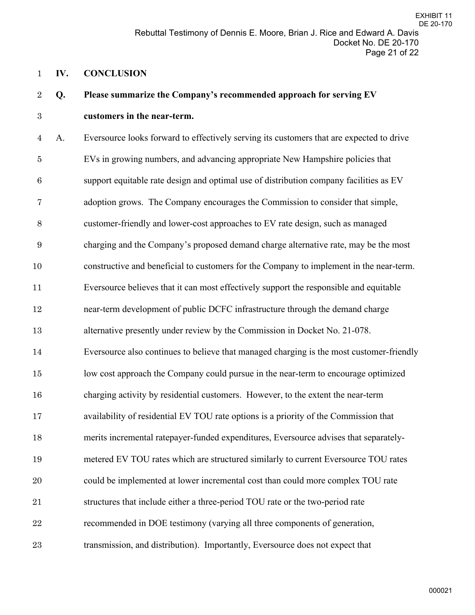#### **IV. CONCLUSION**

# **Q. Please summarize the Company's recommended approach for serving EV**

## **customers in the near-term.**

A. Eversource looks forward to effectively serving its customers that are expected to drive EVs in growing numbers, and advancing appropriate New Hampshire policies that support equitable rate design and optimal use of distribution company facilities as EV adoption grows. The Company encourages the Commission to consider that simple, customer-friendly and lower-cost approaches to EV rate design, such as managed charging and the Company's proposed demand charge alternative rate, may be the most constructive and beneficial to customers for the Company to implement in the near-term. Eversource believes that it can most effectively support the responsible and equitable near-term development of public DCFC infrastructure through the demand charge alternative presently under review by the Commission in Docket No. 21-078. Eversource also continues to believe that managed charging is the most customer-friendly low cost approach the Company could pursue in the near-term to encourage optimized charging activity by residential customers. However, to the extent the near-term availability of residential EV TOU rate options is a priority of the Commission that merits incremental ratepayer-funded expenditures, Eversource advises that separately- metered EV TOU rates which are structured similarly to current Eversource TOU rates could be implemented at lower incremental cost than could more complex TOU rate structures that include either a three-period TOU rate or the two-period rate recommended in DOE testimony (varying all three components of generation, transmission, and distribution). Importantly, Eversource does not expect that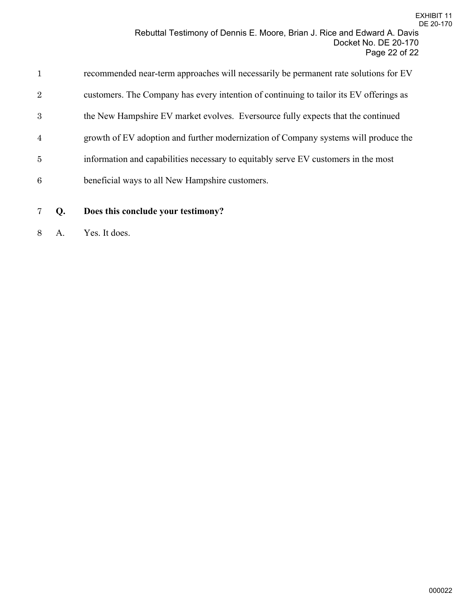| 1              | recommended near-term approaches will necessarily be permanent rate solutions for EV   |
|----------------|----------------------------------------------------------------------------------------|
| $\overline{2}$ | customers. The Company has every intention of continuing to tailor its EV offerings as |
| 3              | the New Hampshire EV market evolves. Eversource fully expects that the continued       |
| $\overline{4}$ | growth of EV adoption and further modernization of Company systems will produce the    |
| 5              | information and capabilities necessary to equitably serve EV customers in the most     |
| 6              | beneficial ways to all New Hampshire customers.                                        |
|                |                                                                                        |

# **Q. Does this conclude your testimony?**

A. Yes. It does.